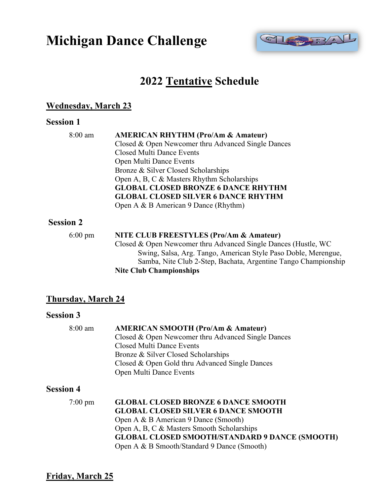# **Michigan Dance Challenge**



# **2022 Tentative Schedule**

### **Wednesday, March 23**

#### **Session 1**

| 8:00 am | <b>AMERICAN RHYTHM (Pro/Am &amp; Amateur)</b>      |
|---------|----------------------------------------------------|
|         | Closed & Open Newcomer thru Advanced Single Dances |
|         | <b>Closed Multi Dance Events</b>                   |
|         | Open Multi Dance Events                            |
|         | Bronze & Silver Closed Scholarships                |
|         | Open A, B, C & Masters Rhythm Scholarships         |
|         | <b>GLOBAL CLOSED BRONZE 6 DANCE RHYTHM</b>         |
|         | <b>GLOBAL CLOSED SILVER 6 DANCE RHYTHM</b>         |
|         | Open A & B American 9 Dance (Rhythm)               |
| )n 2    |                                                    |

# **Session**

| $6:00 \text{ pm}$ | NITE CLUB FREESTYLES (Pro/Am & Amateur)                        |
|-------------------|----------------------------------------------------------------|
|                   | Closed & Open Newcomer thru Advanced Single Dances (Hustle, WC |
|                   | Swing, Salsa, Arg. Tango, American Style Paso Doble, Merengue, |
|                   | Samba, Nite Club 2-Step, Bachata, Argentine Tango Championship |
|                   | <b>Nite Club Championships</b>                                 |

# **Thursday, March 24**

## **Session 3**

| $8:00$ am         | <b>AMERICAN SMOOTH (Pro/Am &amp; Amateur)</b>         |
|-------------------|-------------------------------------------------------|
|                   | Closed & Open Newcomer thru Advanced Single Dances    |
|                   | Closed Multi Dance Events                             |
|                   | Bronze & Silver Closed Scholarships                   |
|                   | Closed & Open Gold thru Advanced Single Dances        |
|                   | Open Multi Dance Events                               |
| <b>Session 4</b>  |                                                       |
| $7:00 \text{ pm}$ | <b>GLOBAL CLOSED BRONZE 6 DANCE SMOOTH</b>            |
|                   | <b>GLOBAL CLOSED SILVER 6 DANCE SMOOTH</b>            |
|                   | Open A & B American 9 Dance (Smooth)                  |
|                   | Open A, B, C & Masters Smooth Scholarships            |
|                   | <b>GLOBAL CLOSED SMOOTH/STANDARD 9 DANCE (SMOOTH)</b> |
|                   | Open A & B Smooth/Standard 9 Dance (Smooth)           |
|                   |                                                       |

**Friday, March 25**